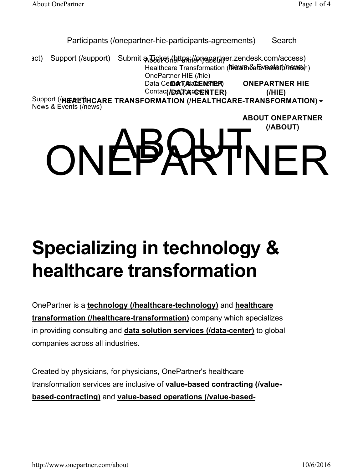**(/HIE)**

Participants (/onepartner-hie-participants-agreements) Search

act) Support (/support) Submit a Ticket (bttps://onepartner.zendesk.com/access) Healthcare Transformation (Mewn Sale Yeats for mars) OnePartner HIE (/hie) Data Ce**Der (Acceder ER) ONEPARTNER HIE**

Contact/DentreaseNTER)

Support (**/HEALTHCARE TRANSFORMATION (/HEALTHCARE-TRANSFORMATION)** News & Events (/news)

# ONEPARTNER **ABOUT ONEPARTNER (/ABOUT)**

## **Specializing in technology & healthcare transformation**

OnePartner is a **technology (/healthcare-technology)** and **healthcare transformation (/healthcare-transformation)** company which specializes in providing consulting and **data solution services (/data-center)** to global companies across all industries.

Created by physicians, for physicians, OnePartner's healthcare transformation services are inclusive of **value-based contracting (/valuebased-contracting)** and **value-based operations (/value-based-**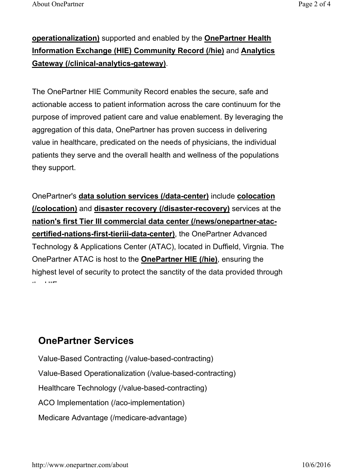## **operationalization)** supported and enabled by the **OnePartner Health Information Exchange (HIE) Community Record (/hie)** and **Analytics Gateway (/clinical-analytics-gateway)**.

The OnePartner HIE Community Record enables the secure, safe and actionable access to patient information across the care continuum for the purpose of improved patient care and value enablement. By leveraging the aggregation of this data, OnePartner has proven success in delivering value in healthcare, predicated on the needs of physicians, the individual patients they serve and the overall health and wellness of the populations they support.

OnePartner's **data solution services (/data-center)** include **colocation (/colocation)** and **disaster recovery (/disaster-recovery)** services at the **nation's first Tier III commercial data center (/news/onepartner-ataccertified-nations-first-tieriii-data-center)**, the OnePartner Advanced Technology & Applications Center (ATAC), located in Duffield, Virgnia. The OnePartner ATAC is host to the **OnePartner HIE (/hie)**, ensuring the highest level of security to protect the sanctity of the data provided through th HIE

### **OnePartner Services**

Value-Based Contracting (/value-based-contracting) Value-Based Operationalization (/value-based-contracting) Healthcare Technology (/value-based-contracting) ACO Implementation (/aco-implementation) Medicare Advantage (/medicare-advantage)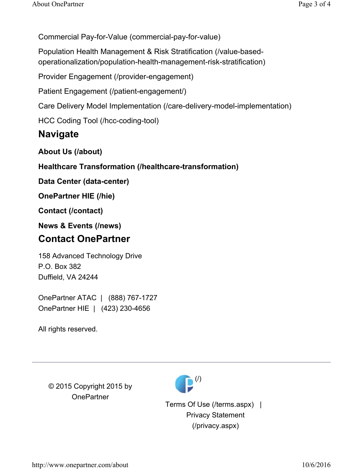Commercial Pay-for-Value (commercial-pay-for-value)

Population Health Management & Risk Stratification (/value-basedoperationalization/population-health-management-risk-stratification)

Provider Engagement (/provider-engagement)

Patient Engagement (/patient-engagement/)

Care Delivery Model Implementation (/care-delivery-model-implementation)

HCC Coding Tool (/hcc-coding-tool)

#### **Navigate**

**About Us (/about)**

**Healthcare Transformation (/healthcare-transformation)**

**Data Center (data-center)**

**OnePartner HIE (/hie)**

**Contact (/contact)**

**News & Events (/news)**

#### **Contact OnePartner**

158 Advanced Technology Drive P.O. Box 382 Duffield, VA 24244

OnePartner ATAC | (888) 767-1727 OnePartner HIE | (423) 230-4656

All rights reserved.

© 2015 Copyright 2015 by **OnePartner** 



Terms Of Use (/terms.aspx) | Privacy Statement (/privacy.aspx)